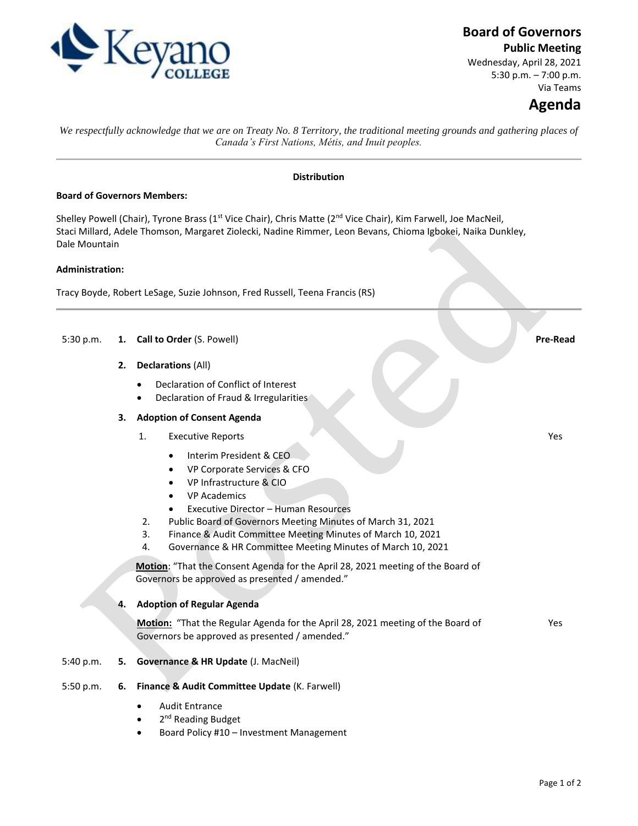

## **Board of Governors**

**Public Meeting**

Wednesday, April 28, 2021 5:30 p.m. – 7:00 p.m. Via Teams

# **Agenda**

*We respectfully acknowledge that we are on Treaty No. 8 Territory, the traditional meeting grounds and gathering places of Canada's First Nations, Métis, and Inuit peoples.*

### **Distribution**

### **Board of Governors Members:**

Shelley Powell (Chair), Tyrone Brass (1<sup>st</sup> Vice Chair), Chris Matte (2<sup>nd</sup> Vice Chair), Kim Farwell, Joe MacNeil, Staci Millard, Adele Thomson, Margaret Ziolecki, Nadine Rimmer, Leon Bevans, Chioma Igbokei, Naika Dunkley, Dale Mountain

### **Administration:**

Tracy Boyde, Robert LeSage, Suzie Johnson, Fred Russell, Teena Francis (RS)

## 5:30 p.m. **1. Call to Order** (S. Powell) **Pre-Read**

- **2. Declarations** (All)
	- Declaration of Conflict of Interest
	- Declaration of Fraud & Irregularities

### **3. Adoption of Consent Agenda**

- 1. Executive Reports
	- Interim President & CEO
	- VP Corporate Services & CFO
	- VP Infrastructure & CIO
	- VP Academics
	- Executive Director Human Resources
- 2. Public Board of Governors Meeting Minutes of March 31, 2021
- 3. Finance & Audit Committee Meeting Minutes of March 10, 2021
- 4. Governance & HR Committee Meeting Minutes of March 10, 2021

**Motion**: "That the Consent Agenda for the April 28, 2021 meeting of the Board of Governors be approved as presented / amended."

## **4. Adoption of Regular Agenda**

**Motion:** "That the Regular Agenda for the April 28, 2021 meeting of the Board of Governors be approved as presented / amended."

Yes

Yes

#### 5:40 p.m. **5. Governance & HR Update** (J. MacNeil)

#### 5:50 p.m. **6. Finance & Audit Committee Update** (K. Farwell)

- Audit Entrance
- 2<sup>nd</sup> Reading Budget
- Board Policy #10 Investment Management